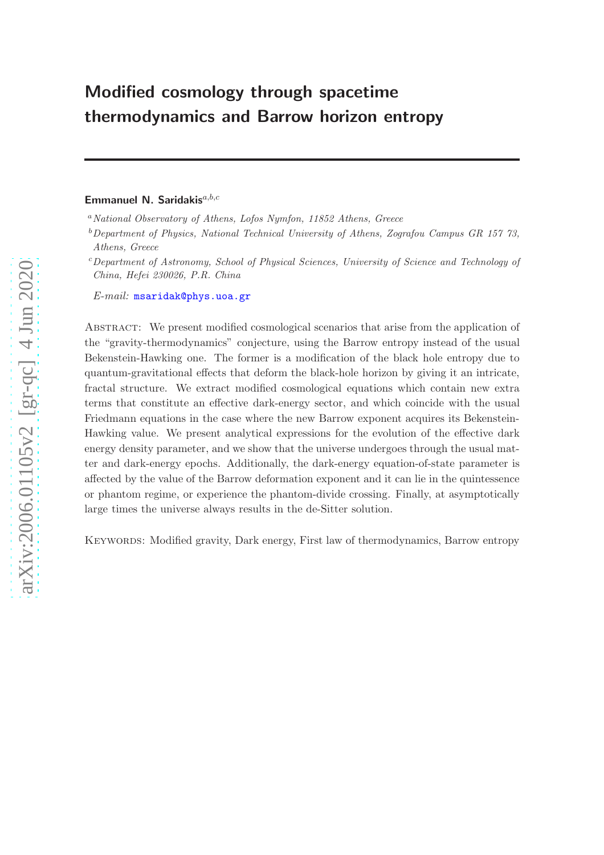# Modified cosmology through spacetime thermodynamics and Barrow horizon entropy

# Emmanuel N. Saridakis $a,b,c$

<sup>a</sup> National Observatory of Athens, Lofos Nymfon, 11852 Athens, Greece

 $b$ Department of Physics, National Technical University of Athens, Zografou Campus GR 157 73, Athens, Greece

<sup>c</sup>Department of Astronomy, School of Physical Sciences, University of Science and Technology of China, Hefei 230026, P.R. China

E-mail: [msaridak@phys.uoa.gr](mailto:msaridak@phys.uoa.gr)

Abstract: We present modified cosmological scenarios that arise from the application of the "gravity-thermodynamics" conjecture, using the Barrow entropy instead of the usual Bekenstein-Hawking one. The former is a modification of the black hole entropy due to quantum-gravitational effects that deform the black-hole horizon by giving it an intricate, fractal structure. We extract modified cosmological equations which contain new extra terms that constitute an effective dark-energy sector, and which coincide with the usual Friedmann equations in the case where the new Barrow exponent acquires its Bekenstein-Hawking value. We present analytical expressions for the evolution of the effective dark energy density parameter, and we show that the universe undergoes through the usual matter and dark-energy epochs. Additionally, the dark-energy equation-of-state parameter is affected by the value of the Barrow deformation exponent and it can lie in the quintessence or phantom regime, or experience the phantom-divide crossing. Finally, at asymptotically large times the universe always results in the de-Sitter solution.

Keywords: Modified gravity, Dark energy, First law of thermodynamics, Barrow entropy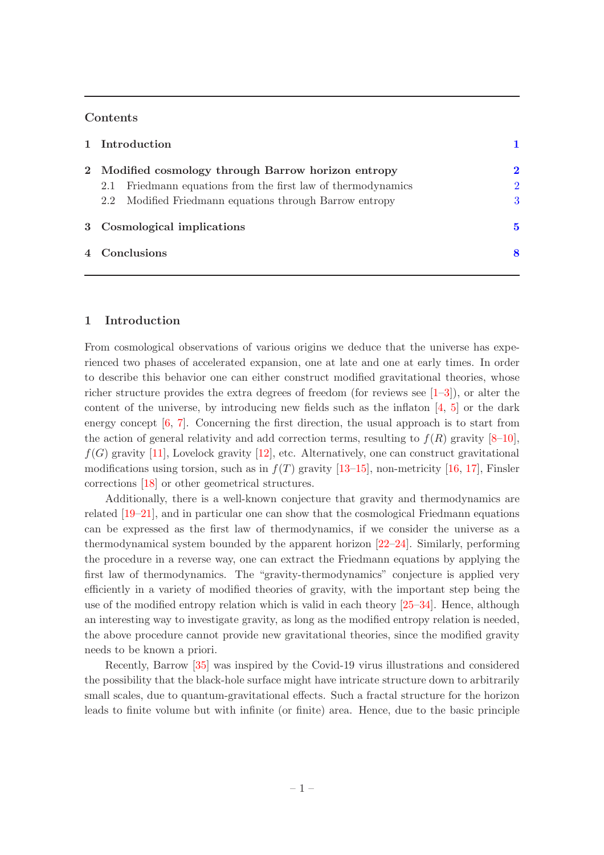# Contents

|  | 1 Introduction                                                  |                |
|--|-----------------------------------------------------------------|----------------|
|  | 2 Modified cosmology through Barrow horizon entropy             | $\mathbf 2$    |
|  | Friedmann equations from the first law of thermodynamics<br>2.1 | $\overline{2}$ |
|  | 2.2 Modified Friedmann equations through Barrow entropy         | 3              |
|  | 3 Cosmological implications                                     | 5              |
|  | 4 Conclusions                                                   | 8              |

### <span id="page-1-0"></span>1 Introduction

From cosmological observations of various origins we deduce that the universe has experienced two phases of accelerated expansion, one at late and one at early times. In order to describe this behavior one can either construct modified gravitational theories, whose richer structure provides the extra degrees of freedom (for reviews see  $[1-3]$ ), or alter the content of the universe, by introducing new fields such as the inflaton [\[4,](#page-9-2) [5](#page-9-3)] or the dark energy concept  $[6, 7]$  $[6, 7]$  $[6, 7]$ . Concerning the first direction, the usual approach is to start from the action of general relativity and add correction terms, resulting to  $f(R)$  gravity  $[8-10]$ ,  $f(G)$  gravity [\[11\]](#page-9-8), Lovelock gravity [\[12](#page-9-9)], etc. Alternatively, one can construct gravitational modifications using torsion, such as in  $f(T)$  gravity [\[13](#page-9-10)[–15](#page-9-11)], non-metricity [\[16](#page-9-12), [17\]](#page-10-0), Finsler corrections [\[18](#page-10-1)] or other geometrical structures.

Additionally, there is a well-known conjecture that gravity and thermodynamics are related [\[19](#page-10-2)[–21\]](#page-10-3), and in particular one can show that the cosmological Friedmann equations can be expressed as the first law of thermodynamics, if we consider the universe as a thermodynamical system bounded by the apparent horizon [\[22](#page-10-4)[–24](#page-10-5)]. Similarly, performing the procedure in a reverse way, one can extract the Friedmann equations by applying the first law of thermodynamics. The "gravity-thermodynamics" conjecture is applied very efficiently in a variety of modified theories of gravity, with the important step being the use of the modified entropy relation which is valid in each theory [\[25](#page-10-6)[–34](#page-10-7)]. Hence, although an interesting way to investigate gravity, as long as the modified entropy relation is needed, the above procedure cannot provide new gravitational theories, since the modified gravity needs to be known a priori.

Recently, Barrow [\[35](#page-10-8)] was inspired by the Covid-19 virus illustrations and considered the possibility that the black-hole surface might have intricate structure down to arbitrarily small scales, due to quantum-gravitational effects. Such a fractal structure for the horizon leads to finite volume but with infinite (or finite) area. Hence, due to the basic principle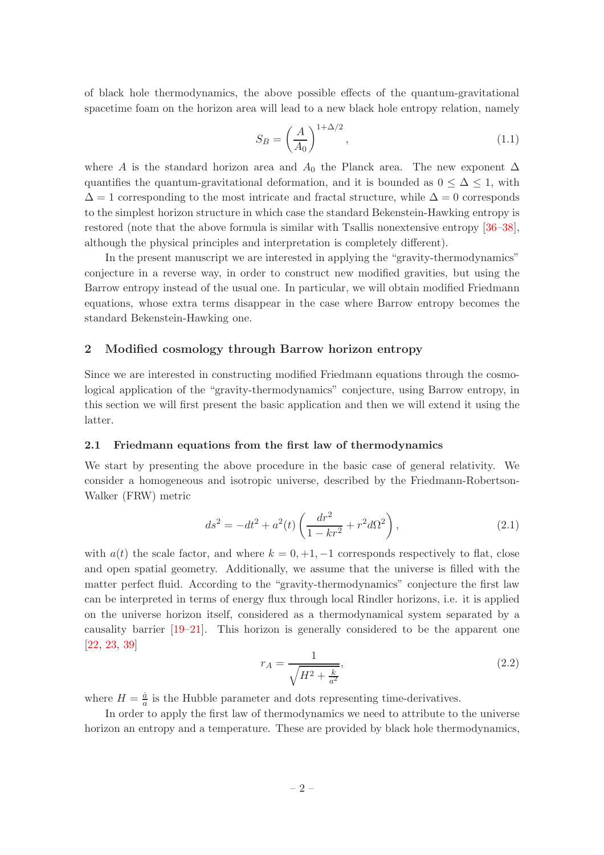of black hole thermodynamics, the above possible effects of the quantum-gravitational spacetime foam on the horizon area will lead to a new black hole entropy relation, namely

<span id="page-2-3"></span>
$$
S_B = \left(\frac{A}{A_0}\right)^{1+\Delta/2},\tag{1.1}
$$

where A is the standard horizon area and  $A_0$  the Planck area. The new exponent  $\Delta$ quantifies the quantum-gravitational deformation, and it is bounded as  $0 \leq \Delta \leq 1$ , with  $\Delta = 1$  corresponding to the most intricate and fractal structure, while  $\Delta = 0$  corresponds to the simplest horizon structure in which case the standard Bekenstein-Hawking entropy is restored (note that the above formula is similar with Tsallis nonextensive entropy [\[36](#page-10-9)[–38\]](#page-11-0), although the physical principles and interpretation is completely different).

In the present manuscript we are interested in applying the "gravity-thermodynamics" conjecture in a reverse way, in order to construct new modified gravities, but using the Barrow entropy instead of the usual one. In particular, we will obtain modified Friedmann equations, whose extra terms disappear in the case where Barrow entropy becomes the standard Bekenstein-Hawking one.

# <span id="page-2-0"></span>2 Modified cosmology through Barrow horizon entropy

Since we are interested in constructing modified Friedmann equations through the cosmological application of the "gravity-thermodynamics" conjecture, using Barrow entropy, in this section we will first present the basic application and then we will extend it using the latter.

#### <span id="page-2-1"></span>2.1 Friedmann equations from the first law of thermodynamics

We start by presenting the above procedure in the basic case of general relativity. We consider a homogeneous and isotropic universe, described by the Friedmann-Robertson-Walker (FRW) metric

$$
ds^{2} = -dt^{2} + a^{2}(t) \left( \frac{dr^{2}}{1 - kr^{2}} + r^{2} d\Omega^{2} \right),
$$
\n(2.1)

with  $a(t)$  the scale factor, and where  $k = 0, +1, -1$  corresponds respectively to flat, close and open spatial geometry. Additionally, we assume that the universe is filled with the matter perfect fluid. According to the "gravity-thermodynamics" conjecture the first law can be interpreted in terms of energy flux through local Rindler horizons, i.e. it is applied on the universe horizon itself, considered as a thermodynamical system separated by a causality barrier [\[19](#page-10-2)[–21](#page-10-3)]. This horizon is generally considered to be the apparent one [\[22](#page-10-4), [23,](#page-10-10) [39](#page-11-1)]

<span id="page-2-2"></span>
$$
r_A = \frac{1}{\sqrt{H^2 + \frac{k}{a^2}}},\tag{2.2}
$$

where  $H=\frac{\dot{a}}{a}$  $\frac{a}{a}$  is the Hubble parameter and dots representing time-derivatives.

In order to apply the first law of thermodynamics we need to attribute to the universe horizon an entropy and a temperature. These are provided by black hole thermodynamics,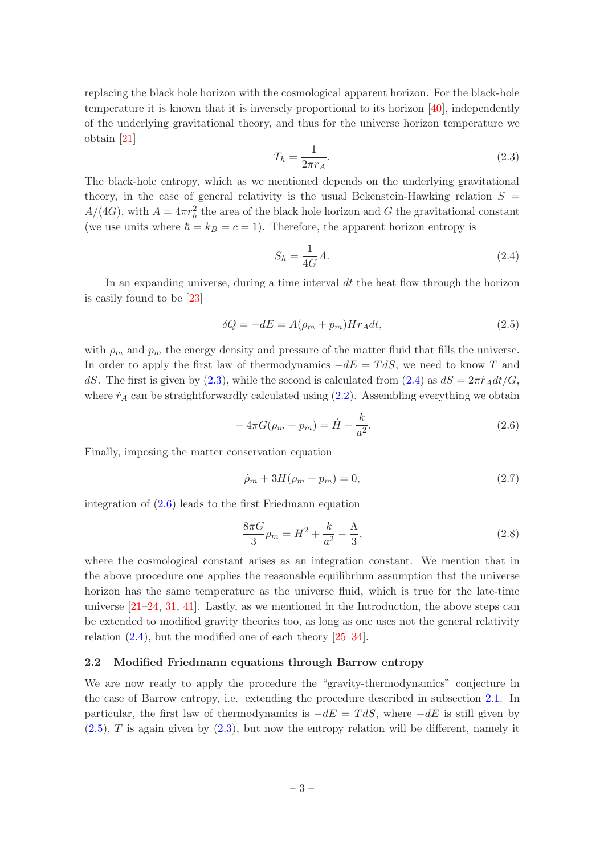replacing the black hole horizon with the cosmological apparent horizon. For the black-hole temperature it is known that it is inversely proportional to its horizon [\[40](#page-11-2)], independently of the underlying gravitational theory, and thus for the universe horizon temperature we obtain [\[21](#page-10-3)]

<span id="page-3-1"></span>
$$
T_h = \frac{1}{2\pi r_A}.\tag{2.3}
$$

The black-hole entropy, which as we mentioned depends on the underlying gravitational theory, in the case of general relativity is the usual Bekenstein-Hawking relation  $S =$  $A/(4G)$ , with  $A = 4\pi r_h^2$  the area of the black hole horizon and G the gravitational constant (we use units where  $\hbar = k_B = c = 1$ ). Therefore, the apparent horizon entropy is

<span id="page-3-2"></span>
$$
S_h = \frac{1}{4G}A.\t(2.4)
$$

In an expanding universe, during a time interval  $dt$  the heat flow through the horizon is easily found to be [\[23](#page-10-10)]

<span id="page-3-4"></span>
$$
\delta Q = -dE = A(\rho_m + p_m)Hr_A dt, \qquad (2.5)
$$

with  $\rho_m$  and  $p_m$  the energy density and pressure of the matter fluid that fills the universe. In order to apply the first law of thermodynamics  $-dE = T dS$ , we need to know T and dS. The first is given by [\(2.3\)](#page-3-1), while the second is calculated from [\(2.4\)](#page-3-2) as  $dS = 2\pi \dot{r}_A dt/G$ , where  $\dot{r}_A$  can be straightforwardly calculated using  $(2.2)$ . Assembling everything we obtain

<span id="page-3-3"></span>
$$
-4\pi G(\rho_m + p_m) = \dot{H} - \frac{k}{a^2}.
$$
\n(2.6)

Finally, imposing the matter conservation equation

<span id="page-3-5"></span>
$$
\dot{\rho}_m + 3H(\rho_m + p_m) = 0,\t\t(2.7)
$$

integration of [\(2.6\)](#page-3-3) leads to the first Friedmann equation

$$
\frac{8\pi G}{3}\rho_m = H^2 + \frac{k}{a^2} - \frac{\Lambda}{3},\tag{2.8}
$$

where the cosmological constant arises as an integration constant. We mention that in the above procedure one applies the reasonable equilibrium assumption that the universe horizon has the same temperature as the universe fluid, which is true for the late-time universe  $[21-24, 31, 41]$  $[21-24, 31, 41]$  $[21-24, 31, 41]$  $[21-24, 31, 41]$  $[21-24, 31, 41]$ . Lastly, as we mentioned in the Introduction, the above steps can be extended to modified gravity theories too, as long as one uses not the general relativity relation  $(2.4)$ , but the modified one of each theory  $[25-34]$ .

#### <span id="page-3-0"></span>2.2 Modified Friedmann equations through Barrow entropy

We are now ready to apply the procedure the "gravity-thermodynamics" conjecture in the case of Barrow entropy, i.e. extending the procedure described in subsection [2.1.](#page-2-1) In particular, the first law of thermodynamics is  $-dE = T dS$ , where  $-dE$  is still given by  $(2.5)$ , T is again given by  $(2.3)$ , but now the entropy relation will be different, namely it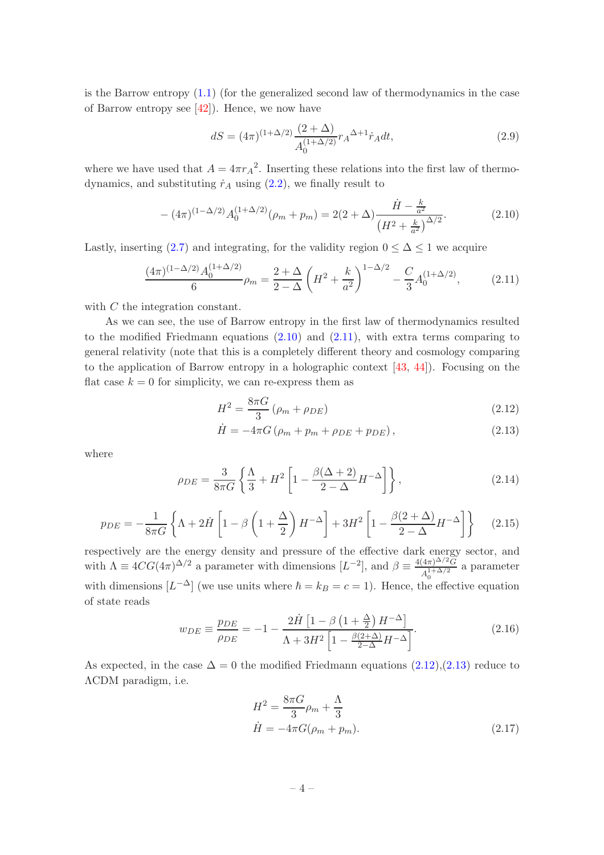is the Barrow entropy  $(1.1)$  (for the generalized second law of thermodynamics in the case of Barrow entropy see [\[42](#page-11-4)]). Hence, we now have

$$
dS = (4\pi)^{(1+\Delta/2)} \frac{(2+\Delta)}{A_0^{(1+\Delta/2)}} r_A^{\Delta+1} \dot{r}_A dt, \qquad (2.9)
$$

where we have used that  $A = 4\pi r_A^2$ . Inserting these relations into the first law of thermodynamics, and substituting  $\dot{r}_A$  using [\(2.2\)](#page-2-2), we finally result to

<span id="page-4-0"></span>
$$
-(4\pi)^{(1-\Delta/2)}A_0^{(1+\Delta/2)}(\rho_m+p_m) = 2(2+\Delta)\frac{\dot{H}-\frac{k}{a^2}}{\left(H^2+\frac{k}{a^2}\right)^{\Delta/2}}.\tag{2.10}
$$

Lastly, inserting [\(2.7\)](#page-3-5) and integrating, for the validity region  $0 \leq \Delta \leq 1$  we acquire

<span id="page-4-1"></span>
$$
\frac{(4\pi)^{(1-\Delta/2)}A_0^{(1+\Delta/2)}}{6}\rho_m = \frac{2+\Delta}{2-\Delta}\left(H^2 + \frac{k}{a^2}\right)^{1-\Delta/2} - \frac{C}{3}A_0^{(1+\Delta/2)},\tag{2.11}
$$

with C the integration constant.

As we can see, the use of Barrow entropy in the first law of thermodynamics resulted to the modified Friedmann equations [\(2.10\)](#page-4-0) and [\(2.11\)](#page-4-1), with extra terms comparing to general relativity (note that this is a completely different theory and cosmology comparing to the application of Barrow entropy in a holographic context [\[43](#page-11-5), [44\]](#page-11-6)). Focusing on the flat case  $k = 0$  for simplicity, we can re-express them as

<span id="page-4-2"></span>
$$
H^{2} = \frac{8\pi G}{3} \left(\rho_{m} + \rho_{DE}\right)
$$
 (2.12)

$$
\dot{H} = -4\pi G \left( \rho_m + p_m + \rho_{DE} + p_{DE} \right),\tag{2.13}
$$

where

<span id="page-4-3"></span>
$$
\rho_{DE} = \frac{3}{8\pi G} \left\{ \frac{\Lambda}{3} + H^2 \left[ 1 - \frac{\beta(\Delta + 2)}{2 - \Delta} H^{-\Delta} \right] \right\},\tag{2.14}
$$

<span id="page-4-5"></span>
$$
p_{DE} = -\frac{1}{8\pi G} \left\{ \Lambda + 2\dot{H} \left[ 1 - \beta \left( 1 + \frac{\Delta}{2} \right) H^{-\Delta} \right] + 3H^2 \left[ 1 - \frac{\beta (2 + \Delta)}{2 - \Delta} H^{-\Delta} \right] \right\}
$$
(2.15)

respectively are the energy density and pressure of the effective dark energy sector, and with  $\Lambda \equiv 4CG(4\pi)^{\Delta/2}$  a parameter with dimensions  $[L^{-2}]$ , and  $\beta \equiv \frac{4(4\pi)^{\Delta/2}\tilde{G}}{A_0^{1+\Delta/2}}$  $\frac{A_1^4 + \Delta/2}{A_0^{1+\Delta/2}}$  a parameter with dimensions  $[L^{-\Delta}]$  (we use units where  $\hbar = k_B = c = 1$ ). Hence, the effective equation of state reads

<span id="page-4-4"></span>
$$
w_{DE} \equiv \frac{p_{DE}}{\rho_{DE}} = -1 - \frac{2\dot{H}\left[1 - \beta\left(1 + \frac{\Delta}{2}\right)H^{-\Delta}\right]}{\Lambda + 3H^2\left[1 - \frac{\beta(2 + \Delta)}{2 - \Delta}H^{-\Delta}\right]}.
$$
\n(2.16)

As expected, in the case  $\Delta = 0$  the modified Friedmann equations  $(2.12),(2.13)$  $(2.12),(2.13)$  $(2.12),(2.13)$  reduce to ΛCDM paradigm, i.e.

$$
H^{2} = \frac{8\pi G}{3}\rho_{m} + \frac{\Lambda}{3}
$$
  
\n
$$
\dot{H} = -4\pi G(\rho_{m} + p_{m}).
$$
\n(2.17)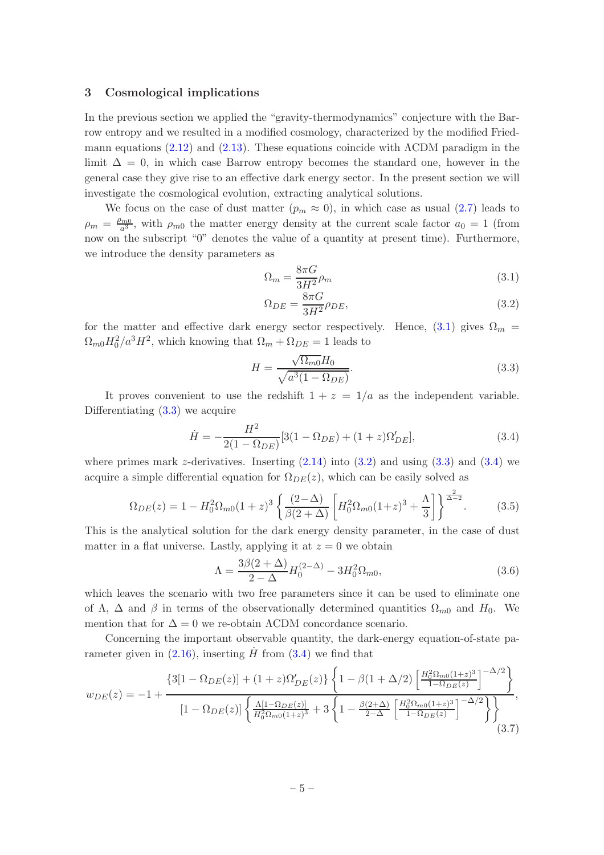## <span id="page-5-0"></span>3 Cosmological implications

In the previous section we applied the "gravity-thermodynamics" conjecture with the Barrow entropy and we resulted in a modified cosmology, characterized by the modified Fried-mann equations [\(2.12\)](#page-4-2) and [\(2.13\)](#page-4-2). These equations coincide with  $\Lambda$ CDM paradigm in the limit  $\Delta = 0$ , in which case Barrow entropy becomes the standard one, however in the general case they give rise to an effective dark energy sector. In the present section we will investigate the cosmological evolution, extracting analytical solutions.

We focus on the case of dust matter  $(p_m \approx 0)$ , in which case as usual  $(2.7)$  leads to  $\rho_m = \frac{\rho_{m0}}{a^3}$  $\frac{2m}{a^3}$ , with  $\rho_{m0}$  the matter energy density at the current scale factor  $a_0 = 1$  (from now on the subscript "0" denotes the value of a quantity at present time). Furthermore, we introduce the density parameters as

<span id="page-5-1"></span>
$$
\Omega_m = \frac{8\pi G}{3H^2} \rho_m \tag{3.1}
$$

$$
\Omega_{DE} = \frac{8\pi G}{3H^2} \rho_{DE},\tag{3.2}
$$

for the matter and effective dark energy sector respectively. Hence, [\(3.1\)](#page-5-1) gives  $\Omega_m$  =  $\Omega_{m0}H_0^2/a^3H^2$ , which knowing that  $\Omega_m + \Omega_{DE} = 1$  leads to

<span id="page-5-2"></span>
$$
H = \frac{\sqrt{\Omega_{m0}}H_0}{\sqrt{a^3(1 - \Omega_{DE})}}.\tag{3.3}
$$

It proves convenient to use the redshift  $1 + z = 1/a$  as the independent variable. Differentiating [\(3.3\)](#page-5-2) we acquire

<span id="page-5-3"></span>
$$
\dot{H} = -\frac{H^2}{2(1 - \Omega_{DE})} [3(1 - \Omega_{DE}) + (1 + z)\Omega'_{DE}],
$$
\n(3.4)

where primes mark z-derivatives. Inserting  $(2.14)$  into  $(3.2)$  and using  $(3.3)$  and  $(3.4)$  we acquire a simple differential equation for  $\Omega_{DE}(z)$ , which can be easily solved as

<span id="page-5-4"></span>
$$
\Omega_{DE}(z) = 1 - H_0^2 \Omega_{m0} (1+z)^3 \left\{ \frac{(2-\Delta)}{\beta (2+\Delta)} \left[ H_0^2 \Omega_{m0} (1+z)^3 + \frac{\Lambda}{3} \right] \right\}^{\frac{2}{\Delta - 2}}.
$$
 (3.5)

This is the analytical solution for the dark energy density parameter, in the case of dust matter in a flat universe. Lastly, applying it at  $z = 0$  we obtain

<span id="page-5-5"></span>
$$
\Lambda = \frac{3\beta(2+\Delta)}{2-\Delta}H_0^{(2-\Delta)} - 3H_0^2\Omega_{m0},\tag{3.6}
$$

which leaves the scenario with two free parameters since it can be used to eliminate one of  $\Lambda$ ,  $\Delta$  and  $\beta$  in terms of the observationally determined quantities  $\Omega_{m0}$  and  $H_0$ . We mention that for  $\Delta = 0$  we re-obtain  $\Lambda$ CDM concordance scenario.

Concerning the important observable quantity, the dark-energy equation-of-state parameter given in  $(2.16)$ , inserting  $\dot{H}$  from  $(3.4)$  we find that

<span id="page-5-6"></span>
$$
w_{DE}(z) = -1 + \frac{\left\{3[1 - \Omega_{DE}(z)] + (1 + z)\Omega'_{DE}(z)\right\}\left\{1 - \beta(1 + \Delta/2)\left[\frac{H_0^2\Omega_{m0}(1+z)^3}{1 - \Omega_{DE}(z)}\right]^{-\Delta/2}\right\}}{[1 - \Omega_{DE}(z)]\left\{\frac{\Lambda[1 - \Omega_{DE}(z)]}{H_0^2\Omega_{m0}(1+z)^3} + 3\left\{1 - \frac{\beta(2+\Delta)}{2-\Delta}\left[\frac{H_0^2\Omega_{m0}(1+z)^3}{1 - \Omega_{DE}(z)}\right]^{-\Delta/2}\right\}\right\}},\tag{3.7}
$$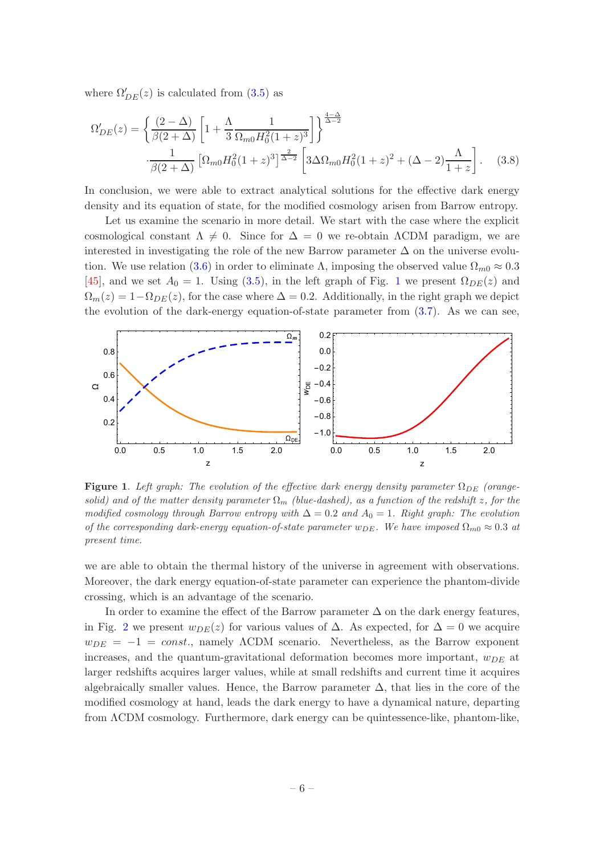where  $\Omega'_{DE}(z)$  is calculated from [\(3.5\)](#page-5-4) as

<span id="page-6-1"></span>
$$
\Omega'_{DE}(z) = \left\{ \frac{(2-\Delta)}{\beta(2+\Delta)} \left[ 1 + \frac{\Lambda}{3} \frac{1}{\Omega_{m0} H_0^2 (1+z)^3} \right] \right\}^{\frac{4-\Delta}{\Delta-2}} \n\cdot \frac{1}{\beta(2+\Delta)} \left[ \Omega_{m0} H_0^2 (1+z)^3 \right]^{\frac{2}{\Delta-2}} \left[ 3\Delta \Omega_{m0} H_0^2 (1+z)^2 + (\Delta - 2) \frac{\Lambda}{1+z} \right].
$$
\n(3.8)

In conclusion, we were able to extract analytical solutions for the effective dark energy density and its equation of state, for the modified cosmology arisen from Barrow entropy.

Let us examine the scenario in more detail. We start with the case where the explicit cosmological constant  $\Lambda \neq 0$ . Since for  $\Delta = 0$  we re-obtain  $\Lambda$ CDM paradigm, we are interested in investigating the role of the new Barrow parameter  $\Delta$  on the universe evolu-tion. We use relation [\(3.6\)](#page-5-5) in order to eliminate  $\Lambda$ , imposing the observed value  $\Omega_{m0} \approx 0.3$ [\[45](#page-11-7)], and we set  $A_0 = 1$  $A_0 = 1$ . Using [\(3.5\)](#page-5-4), in the left graph of Fig. 1 we present  $\Omega_{DE}(z)$  and  $\Omega_m(z) = 1 - \Omega_{DE}(z)$ , for the case where  $\Delta = 0.2$ . Additionally, in the right graph we depict the evolution of the dark-energy equation-of-state parameter from [\(3.7\)](#page-5-6). As we can see,



<span id="page-6-0"></span>**Figure 1.** Left graph: The evolution of the effective dark energy density parameter  $\Omega_{DE}$  (orangesolid) and of the matter density parameter  $\Omega_m$  (blue-dashed), as a function of the redshift z, for the modified cosmology through Barrow entropy with  $\Delta = 0.2$  and  $A_0 = 1$ . Right graph: The evolution of the corresponding dark-energy equation-of-state parameter  $w_{DE}$ . We have imposed  $\Omega_{m0} \approx 0.3$  at present time.

we are able to obtain the thermal history of the universe in agreement with observations. Moreover, the dark energy equation-of-state parameter can experience the phantom-divide crossing, which is an advantage of the scenario.

In order to examine the effect of the Barrow parameter  $\Delta$  on the dark energy features, in Fig. [2](#page-7-0) we present  $w_{DE}(z)$  for various values of  $\Delta$ . As expected, for  $\Delta = 0$  we acquire  $w_{DE} = -1 = const.$ , namely  $\Lambda$ CDM scenario. Nevertheless, as the Barrow exponent increases, and the quantum-gravitational deformation becomes more important,  $w_{DE}$  at larger redshifts acquires larger values, while at small redshifts and current time it acquires algebraically smaller values. Hence, the Barrow parameter  $\Delta$ , that lies in the core of the modified cosmology at hand, leads the dark energy to have a dynamical nature, departing from ΛCDM cosmology. Furthermore, dark energy can be quintessence-like, phantom-like,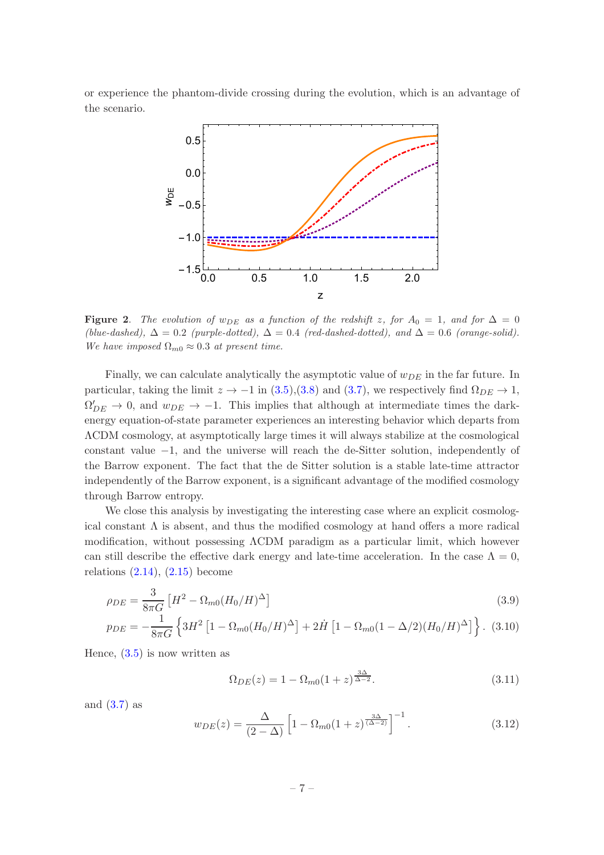or experience the phantom-divide crossing during the evolution, which is an advantage of the scenario.



<span id="page-7-0"></span>Figure 2. The evolution of  $w_{DE}$  as a function of the redshift z, for  $A_0 = 1$ , and for  $\Delta = 0$ (blue-dashed),  $\Delta = 0.2$  (purple-dotted),  $\Delta = 0.4$  (red-dashed-dotted), and  $\Delta = 0.6$  (orange-solid). We have imposed  $\Omega_{m0} \approx 0.3$  at present time.

Finally, we can calculate analytically the asymptotic value of  $w_{DE}$  in the far future. In particular, taking the limit  $z \to -1$  in [\(3.5\)](#page-5-4),[\(3.8\)](#page-6-1) and [\(3.7\)](#page-5-6), we respectively find  $\Omega_{DE} \to 1$ ,  $\Omega'_{DE} \to 0$ , and  $w_{DE} \to -1$ . This implies that although at intermediate times the darkenergy equation-of-state parameter experiences an interesting behavior which departs from ΛCDM cosmology, at asymptotically large times it will always stabilize at the cosmological constant value −1, and the universe will reach the de-Sitter solution, independently of the Barrow exponent. The fact that the de Sitter solution is a stable late-time attractor independently of the Barrow exponent, is a significant advantage of the modified cosmology through Barrow entropy.

We close this analysis by investigating the interesting case where an explicit cosmological constant  $\Lambda$  is absent, and thus the modified cosmology at hand offers a more radical modification, without possessing ΛCDM paradigm as a particular limit, which however can still describe the effective dark energy and late-time acceleration. In the case  $\Lambda = 0$ , relations  $(2.14)$ ,  $(2.15)$  become

$$
\rho_{DE} = \frac{3}{8\pi G} \left[ H^2 - \Omega_{m0} (H_0 / H)^\Delta \right]
$$
\n(3.9)

$$
p_{DE} = -\frac{1}{8\pi G} \left\{ 3H^2 \left[ 1 - \Omega_{m0} (H_0/H)^{\Delta} \right] + 2\dot{H} \left[ 1 - \Omega_{m0} (1 - \Delta/2) (H_0/H)^{\Delta} \right] \right\}. (3.10)
$$

Hence,  $(3.5)$  is now written as

<span id="page-7-1"></span>
$$
\Omega_{DE}(z) = 1 - \Omega_{m0}(1+z)^{\frac{3\Delta}{\Delta - 2}}.
$$
\n(3.11)

and  $(3.7)$  as

$$
w_{DE}(z) = \frac{\Delta}{(2-\Delta)} \left[ 1 - \Omega_{m0}(1+z)^{\frac{3\Delta}{(\Delta-2)}} \right]^{-1}.
$$
 (3.12)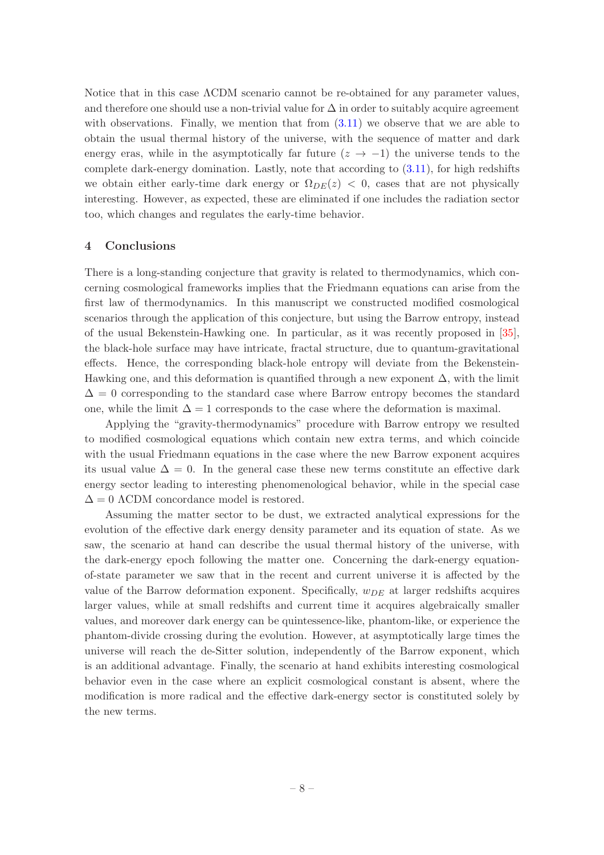Notice that in this case ΛCDM scenario cannot be re-obtained for any parameter values, and therefore one should use a non-trivial value for  $\Delta$  in order to suitably acquire agreement with observations. Finally, we mention that from  $(3.11)$  we observe that we are able to obtain the usual thermal history of the universe, with the sequence of matter and dark energy eras, while in the asymptotically far future  $(z \rightarrow -1)$  the universe tends to the complete dark-energy domination. Lastly, note that according to [\(3.11\)](#page-7-1), for high redshifts we obtain either early-time dark energy or  $\Omega_{DE}(z) < 0$ , cases that are not physically interesting. However, as expected, these are eliminated if one includes the radiation sector too, which changes and regulates the early-time behavior.

# <span id="page-8-0"></span>4 Conclusions

There is a long-standing conjecture that gravity is related to thermodynamics, which concerning cosmological frameworks implies that the Friedmann equations can arise from the first law of thermodynamics. In this manuscript we constructed modified cosmological scenarios through the application of this conjecture, but using the Barrow entropy, instead of the usual Bekenstein-Hawking one. In particular, as it was recently proposed in [\[35\]](#page-10-8), the black-hole surface may have intricate, fractal structure, due to quantum-gravitational effects. Hence, the corresponding black-hole entropy will deviate from the Bekenstein-Hawking one, and this deformation is quantified through a new exponent  $\Delta$ , with the limit  $\Delta = 0$  corresponding to the standard case where Barrow entropy becomes the standard one, while the limit  $\Delta = 1$  corresponds to the case where the deformation is maximal.

Applying the "gravity-thermodynamics" procedure with Barrow entropy we resulted to modified cosmological equations which contain new extra terms, and which coincide with the usual Friedmann equations in the case where the new Barrow exponent acquires its usual value  $\Delta = 0$ . In the general case these new terms constitute an effective dark energy sector leading to interesting phenomenological behavior, while in the special case  $\Delta = 0$  ACDM concordance model is restored.

Assuming the matter sector to be dust, we extracted analytical expressions for the evolution of the effective dark energy density parameter and its equation of state. As we saw, the scenario at hand can describe the usual thermal history of the universe, with the dark-energy epoch following the matter one. Concerning the dark-energy equationof-state parameter we saw that in the recent and current universe it is affected by the value of the Barrow deformation exponent. Specifically,  $w_{DE}$  at larger redshifts acquires larger values, while at small redshifts and current time it acquires algebraically smaller values, and moreover dark energy can be quintessence-like, phantom-like, or experience the phantom-divide crossing during the evolution. However, at asymptotically large times the universe will reach the de-Sitter solution, independently of the Barrow exponent, which is an additional advantage. Finally, the scenario at hand exhibits interesting cosmological behavior even in the case where an explicit cosmological constant is absent, where the modification is more radical and the effective dark-energy sector is constituted solely by the new terms.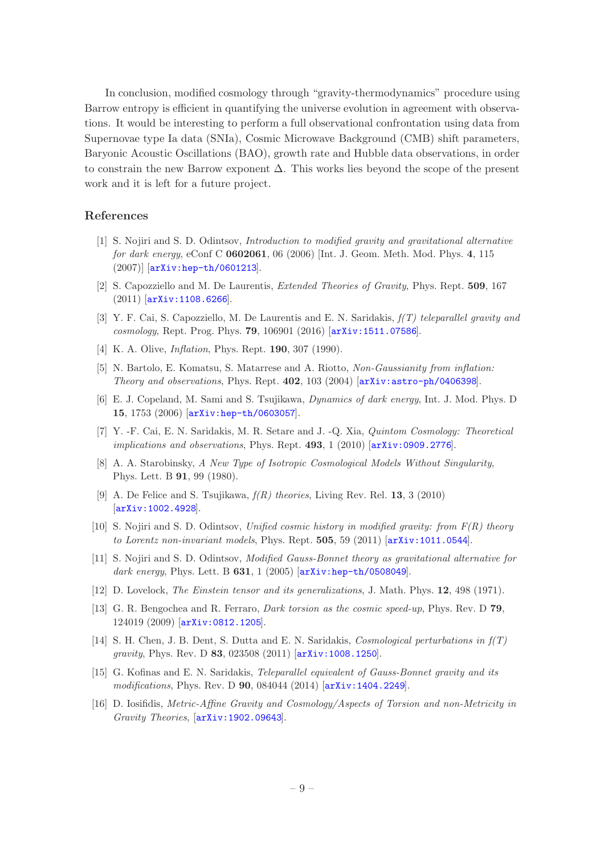In conclusion, modified cosmology through "gravity-thermodynamics" procedure using Barrow entropy is efficient in quantifying the universe evolution in agreement with observations. It would be interesting to perform a full observational confrontation using data from Supernovae type Ia data (SNIa), Cosmic Microwave Background (CMB) shift parameters, Baryonic Acoustic Oscillations (BAO), growth rate and Hubble data observations, in order to constrain the new Barrow exponent  $\Delta$ . This works lies beyond the scope of the present work and it is left for a future project.

# References

- <span id="page-9-0"></span>[1] S. Nojiri and S. D. Odintsov, Introduction to modified gravity and gravitational alternative for dark energy, eConf C 0602061, 06 (2006) [Int. J. Geom. Meth. Mod. Phys. 4, 115 (2007)] [[arXiv:hep-th/0601213](http://xxx.lanl.gov/abs/hep-th/0601213)].
- [2] S. Capozziello and M. De Laurentis, Extended Theories of Gravity, Phys. Rept. 509, 167 (2011) [[arXiv:1108.6266](http://xxx.lanl.gov/abs/1108.6266)].
- <span id="page-9-1"></span>[3] Y. F. Cai, S. Capozziello, M. De Laurentis and E. N. Saridakis,  $f(T)$  teleparallel gravity and cosmology, Rept. Prog. Phys. 79, 106901 (2016) [[arXiv:1511.07586](http://xxx.lanl.gov/abs/1511.07586)].
- <span id="page-9-2"></span>[4] K. A. Olive, *Inflation*, Phys. Rept. **190**, 307 (1990).
- <span id="page-9-3"></span>[5] N. Bartolo, E. Komatsu, S. Matarrese and A. Riotto, Non-Gaussianity from inflation: Theory and observations, Phys. Rept. 402, 103 (2004) [[arXiv:astro-ph/0406398](http://xxx.lanl.gov/abs/astro-ph/0406398)].
- <span id="page-9-4"></span>[6] E. J. Copeland, M. Sami and S. Tsujikawa, Dynamics of dark energy, Int. J. Mod. Phys. D 15, 1753 (2006) [[arXiv:hep-th/0603057](http://xxx.lanl.gov/abs/hep-th/0603057)].
- <span id="page-9-5"></span>[7] Y. -F. Cai, E. N. Saridakis, M. R. Setare and J. -Q. Xia, Quintom Cosmology: Theoretical implications and observations, Phys. Rept.  $493, 1$  (2010)  $\text{arXiv:}$  0909.2776.
- <span id="page-9-6"></span>[8] A. A. Starobinsky, A New Type of Isotropic Cosmological Models Without Singularity, Phys. Lett. B 91, 99 (1980).
- [9] A. De Felice and S. Tsujikawa,  $f(R)$  theories, Living Rev. Rel. 13, 3 (2010) [[arXiv:1002.4928](http://xxx.lanl.gov/abs/1002.4928)].
- <span id="page-9-7"></span>[10] S. Nojiri and S. D. Odintsov, Unified cosmic history in modified gravity: from  $F(R)$  theory to Lorentz non-invariant models, Phys. Rept. 505, 59 (2011) [[arXiv:1011.0544](http://xxx.lanl.gov/abs/1011.0544)].
- <span id="page-9-8"></span>[11] S. Nojiri and S. D. Odintsov, Modified Gauss-Bonnet theory as gravitational alternative for dark energy, Phys. Lett. B  $631$ , 1 (2005) [[arXiv:hep-th/0508049](http://xxx.lanl.gov/abs/hep-th/0508049)].
- <span id="page-9-9"></span>[12] D. Lovelock, *The Einstein tensor and its generalizations*, J. Math. Phys. **12**, 498 (1971).
- <span id="page-9-10"></span>[13] G. R. Bengochea and R. Ferraro, Dark torsion as the cosmic speed-up, Phys. Rev. D 79, 124019 (2009) [[arXiv:0812.1205](http://xxx.lanl.gov/abs/0812.1205)].
- [14] S. H. Chen, J. B. Dent, S. Dutta and E. N. Saridakis, Cosmological perturbations in f(T) gravity, Phys. Rev. D 83, 023508 (2011) [[arXiv:1008.1250](http://xxx.lanl.gov/abs/1008.1250)].
- <span id="page-9-11"></span>[15] G. Kofinas and E. N. Saridakis, Teleparallel equivalent of Gauss-Bonnet gravity and its modifications, Phys. Rev. D 90, 084044 (2014) [[arXiv:1404.2249](http://xxx.lanl.gov/abs/1404.2249)].
- <span id="page-9-12"></span>[16] D. Iosifidis, Metric-Affine Gravity and Cosmology/Aspects of Torsion and non-Metricity in Gravity Theories, [[arXiv:1902.09643](http://xxx.lanl.gov/abs/1902.09643)].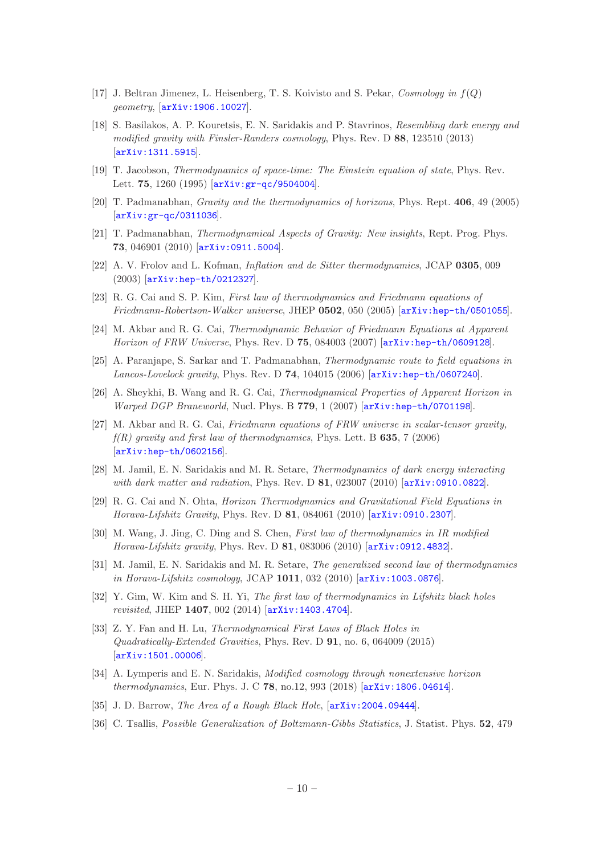- <span id="page-10-0"></span>[17] J. Beltran Jimenez, L. Heisenberg, T. S. Koivisto and S. Pekar, Cosmology in  $f(Q)$ geometry, [[arXiv:1906.10027](http://xxx.lanl.gov/abs/1906.10027)].
- <span id="page-10-1"></span>[18] S. Basilakos, A. P. Kouretsis, E. N. Saridakis and P. Stavrinos, Resembling dark energy and modified gravity with Finsler-Randers cosmology, Phys. Rev. D 88, 123510 (2013) [[arXiv:1311.5915](http://xxx.lanl.gov/abs/1311.5915)].
- <span id="page-10-2"></span>[19] T. Jacobson, Thermodynamics of space-time: The Einstein equation of state, Phys. Rev. Lett. 75, 1260 (1995) [arXiv: gr-qc/9504004].
- [20] T. Padmanabhan, Gravity and the thermodynamics of horizons, Phys. Rept. 406, 49 (2005) [[arXiv:gr-qc/0311036](http://xxx.lanl.gov/abs/gr-qc/0311036)].
- <span id="page-10-3"></span>[21] T. Padmanabhan, Thermodynamical Aspects of Gravity: New insights, Rept. Prog. Phys. 73, 046901 (2010) [[arXiv:0911.5004](http://xxx.lanl.gov/abs/0911.5004)].
- <span id="page-10-4"></span>[22] A. V. Frolov and L. Kofman, Inflation and de Sitter thermodynamics, JCAP 0305, 009 (2003) [[arXiv:hep-th/0212327](http://xxx.lanl.gov/abs/hep-th/0212327)].
- <span id="page-10-10"></span>[23] R. G. Cai and S. P. Kim, First law of thermodynamics and Friedmann equations of Friedmann-Robertson-Walker universe, JHEP 0502, 050 (2005) [[arXiv:hep-th/0501055](http://xxx.lanl.gov/abs/hep-th/0501055)].
- <span id="page-10-5"></span>[24] M. Akbar and R. G. Cai, Thermodynamic Behavior of Friedmann Equations at Apparent Horizon of FRW Universe, Phys. Rev. D 75, 084003 (2007) [[arXiv:hep-th/0609128](http://xxx.lanl.gov/abs/hep-th/0609128)].
- <span id="page-10-6"></span>[25] A. Paranjape, S. Sarkar and T. Padmanabhan, Thermodynamic route to field equations in Lancos-Lovelock gravity, Phys. Rev. D 74, 104015 (2006) [[arXiv:hep-th/0607240](http://xxx.lanl.gov/abs/hep-th/0607240)].
- [26] A. Sheykhi, B. Wang and R. G. Cai, Thermodynamical Properties of Apparent Horizon in Warped DGP Braneworld, Nucl. Phys. B 779, 1 (2007) [[arXiv:hep-th/0701198](http://xxx.lanl.gov/abs/hep-th/0701198)].
- [27] M. Akbar and R. G. Cai, Friedmann equations of FRW universe in scalar-tensor gravity,  $f(R)$  gravity and first law of thermodynamics, Phys. Lett. B 635, 7 (2006) [[arXiv:hep-th/0602156](http://xxx.lanl.gov/abs/hep-th/0602156)].
- [28] M. Jamil, E. N. Saridakis and M. R. Setare, Thermodynamics of dark energy interacting with dark matter and radiation, Phys. Rev. D 81, 023007 (2010) [[arXiv:0910.0822](http://xxx.lanl.gov/abs/0910.0822)].
- [29] R. G. Cai and N. Ohta, Horizon Thermodynamics and Gravitational Field Equations in Horava-Lifshitz Gravity, Phys. Rev. D 81, 084061 (2010) [[arXiv:0910.2307](http://xxx.lanl.gov/abs/0910.2307)].
- [30] M. Wang, J. Jing, C. Ding and S. Chen, First law of thermodynamics in IR modified Horava-Lifshitz gravity, Phys. Rev. D  $81$ , 083006 (2010) [[arXiv:0912.4832](http://xxx.lanl.gov/abs/0912.4832)].
- <span id="page-10-11"></span>[31] M. Jamil, E. N. Saridakis and M. R. Setare, The generalized second law of thermodynamics in Horava-Lifshitz cosmology, JCAP 1011, 032 (2010) [[arXiv:1003.0876](http://xxx.lanl.gov/abs/1003.0876)].
- [32] Y. Gim, W. Kim and S. H. Yi, The first law of thermodynamics in Lifshitz black holes revisited, JHEP 1407, 002 (2014) [[arXiv:1403.4704](http://xxx.lanl.gov/abs/1403.4704)].
- [33] Z. Y. Fan and H. Lu, Thermodynamical First Laws of Black Holes in Quadratically-Extended Gravities, Phys. Rev. D 91, no. 6, 064009 (2015) [[arXiv:1501.00006](http://xxx.lanl.gov/abs/1501.00006)].
- <span id="page-10-7"></span>[34] A. Lymperis and E. N. Saridakis, Modified cosmology through nonextensive horizon thermodynamics, Eur. Phys. J. C 78, no.12, 993 (2018) [[arXiv:1806.04614](http://xxx.lanl.gov/abs/1806.04614)].
- <span id="page-10-8"></span>[35] J. D. Barrow, *The Area of a Rough Black Hole*,  $[array: 2004.09444]$ .
- <span id="page-10-9"></span>[36] C. Tsallis, Possible Generalization of Boltzmann-Gibbs Statistics, J. Statist. Phys. 52, 479